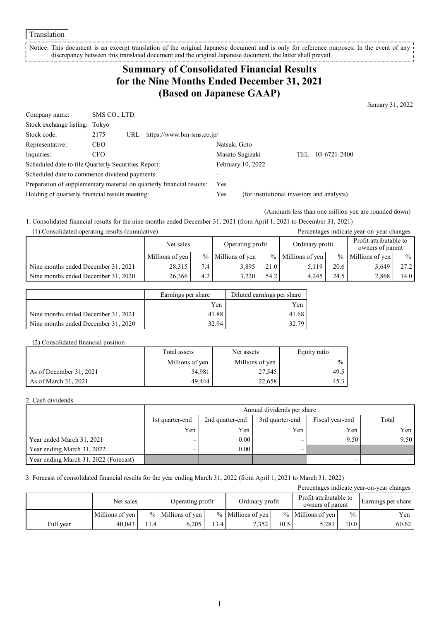#### Translation

Notice: This document is an excerpt translation of the original Japanese document and is only for reference purposes. In the event of any discrepancy between this translated document and the original Japanese document, the latter shall prevail.

# **Summary of Consolidated Financial Results for the Nine Months Ended December 31, 2021 (Based on Japanese GAAP)**

January 31, 2022

| Company name:                                                         | SMS CO., LTD. |     |                           |                 |                                            |     |              |
|-----------------------------------------------------------------------|---------------|-----|---------------------------|-----------------|--------------------------------------------|-----|--------------|
| Stock exchange listing: Tokyo                                         |               |     |                           |                 |                                            |     |              |
| Stock code:                                                           | 2175          | URL | https://www.bm-sms.co.jp/ |                 |                                            |     |              |
| Representative:                                                       | <b>CEO</b>    |     |                           | Natsuki Goto    |                                            |     |              |
| Inquiries:                                                            | CFO.          |     |                           | Masato Sugizaki |                                            | TEL | 03-6721-2400 |
| Scheduled date to file Quarterly Securities Report:                   |               |     |                           |                 | February 10, 2022                          |     |              |
| Scheduled date to commence dividend payments:                         |               |     |                           |                 |                                            |     |              |
| Preparation of supplementary material on quarterly financial results: |               |     |                           | Yes             |                                            |     |              |
| Holding of quarterly financial results meeting:                       |               |     |                           | Yes             | (for institutional investors and analysts) |     |              |

(Amounts less than one million yen are rounded down)

1. Consolidated financial results for the nine months ended December 31, 2021 (from April 1, 2021 to December 31, 2021) (1) Consolidated operating results (cumulative) Percentages indicate year-on-year changes

| $(1)$ consolidated operating results (cumulative) |                 |                               | I creditting to interest your one your changes |                 |                   |                                            |                     |               |
|---------------------------------------------------|-----------------|-------------------------------|------------------------------------------------|-----------------|-------------------|--------------------------------------------|---------------------|---------------|
|                                                   |                 | Operating profit<br>Net sales |                                                | Ordinary profit |                   | Profit attributable to<br>owners of parent |                     |               |
|                                                   | Millions of yen | $\frac{0}{0}$                 | Millions of yen                                |                 | % Millions of yen |                                            | $%$ Millions of yen | $\frac{0}{0}$ |
| Nine months ended December 31, 2021               | 28.315          | 7.4                           | 3,895                                          | 21.0            | 5.119             | 20.6                                       | 3,649               | 27.2          |
| Nine months ended December 31, 2020               | 26.366          | 4.2                           | 3.220                                          | 54.2            | 4.245             | 24.5                                       | 2.868               | 14.0          |

|                                     | Earnings per share | Diluted earnings per share |
|-------------------------------------|--------------------|----------------------------|
|                                     | Yen                | Yen                        |
| Nine months ended December 31, 2021 | 41.88              | 41.68                      |
| Nine months ended December 31, 2020 | 32.94              | 32.79                      |

#### (2) Consolidated financial position

|                         | Total assets    | Net assets      | Equity ratio  |
|-------------------------|-----------------|-----------------|---------------|
|                         | Millions of yen | Millions of yen | $\frac{0}{0}$ |
| As of December 31, 2021 | 54,981          | 27,545          | 49.5          |
| As of March 31, 2021    | 49.444          | 22,658          | 45.3          |

### 2. Cash dividends

|                                       |                 | Annual dividends per share |                 |                 |       |  |  |
|---------------------------------------|-----------------|----------------------------|-----------------|-----------------|-------|--|--|
|                                       | 1st quarter-end | 2nd quarter-end            | 3rd quarter-end | Fiscal year-end | Total |  |  |
|                                       | Yen             | Yen                        | Yen             | Yen             | Yen   |  |  |
| Year ended March 31, 2021             | –               | 0.00                       | -               | 9.50            | 9.50  |  |  |
| Year ending March 31, 2022            | –               | 0.00                       |                 |                 |       |  |  |
| Year ending March 31, 2022 (Forecast) |                 |                            |                 |                 |       |  |  |

### 3. Forecast of consolidated financial results for the year ending March 31, 2022 (from April 1, 2021 to March 31, 2022)

| Percentages indicate year-on-year changes |                 |     |                     |      |                     |      |                                            |                   |                    |
|-------------------------------------------|-----------------|-----|---------------------|------|---------------------|------|--------------------------------------------|-------------------|--------------------|
|                                           | Net sales       |     | Operating profit    |      | Ordinary profit     |      | Profit attributable to<br>owners of parent |                   | Earnings per share |
|                                           | Millions of yen |     | $%$ Millions of ven |      | $%$ Millions of ven |      | $%$ Millions of ven                        | $\frac{0}{0}$     | Yen                |
| Full vear                                 | 40.043          | 1.4 | 6.205               | 13.4 | 7.352               | 10.5 | 5,281                                      | 10.0 <sub>1</sub> | 60.62              |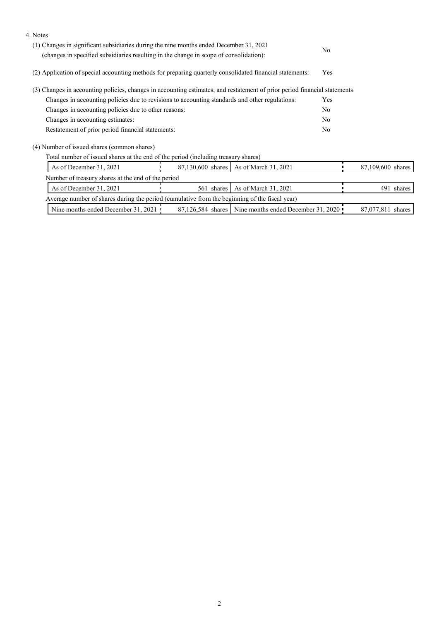| 4. Notes<br>(1) Changes in significant subsidiaries during the nine months ended December 31, 2021<br>(changes in specified subsidiaries resulting in the change in scope of consolidation): | No             |                   |
|----------------------------------------------------------------------------------------------------------------------------------------------------------------------------------------------|----------------|-------------------|
| (2) Application of special accounting methods for preparing quarterly consolidated financial statements:                                                                                     | Yes            |                   |
| (3) Changes in accounting policies, changes in accounting estimates, and restatement of prior period financial statements                                                                    |                |                   |
| Changes in accounting policies due to revisions to accounting standards and other regulations:                                                                                               | Yes            |                   |
| Changes in accounting policies due to other reasons:                                                                                                                                         | No             |                   |
| Changes in accounting estimates:                                                                                                                                                             | N <sub>0</sub> |                   |
| Restatement of prior period financial statements:                                                                                                                                            | N <sub>o</sub> |                   |
| (4) Number of issued shares (common shares)                                                                                                                                                  |                |                   |
| Total number of issued shares at the end of the period (including treasury shares)                                                                                                           |                |                   |
| As of December 31, 2021<br>As of March 31, 2021<br>87,130,600 shares                                                                                                                         |                | 87,109,600 shares |
| Number of treasury shares at the end of the period                                                                                                                                           |                |                   |
| As of December 31, 2021<br>561 shares<br>As of March 31, 2021                                                                                                                                |                | 491 shares        |
| Average number of shares during the period (cumulative from the beginning of the fiscal year)                                                                                                |                |                   |
| Nine months ended December 31, 2021<br>Nine months ended December 31, 2020<br>87,126,584 shares                                                                                              |                | 87,077,811 shares |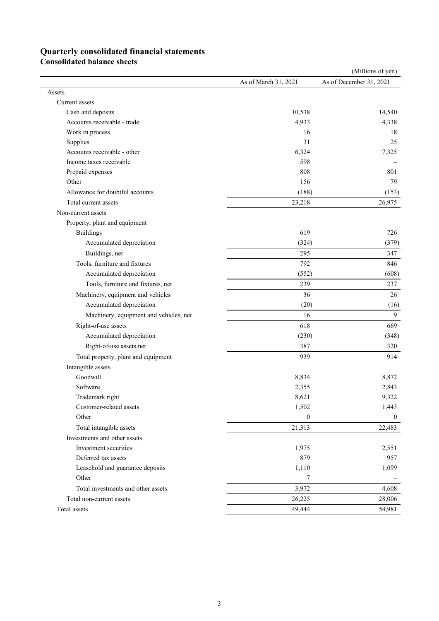# **Quarterly consolidated financial statements**

**Consolidated balance sheets** 

|                                        |                      | (Millions of yen)       |
|----------------------------------------|----------------------|-------------------------|
|                                        | As of March 31, 2021 | As of December 31, 2021 |
| Assets                                 |                      |                         |
| Current assets                         |                      |                         |
| Cash and deposits                      | 10,538               | 14,540                  |
| Accounts receivable - trade            | 4,933                | 4,338                   |
| Work in process                        | 16                   | 18                      |
| Supplies                               | 31                   | 25                      |
| Accounts receivable - other            | 6,324                | 7,325                   |
| Income taxes receivable                | 598                  |                         |
| Prepaid expenses                       | 808                  | 801                     |
| Other                                  | 156                  | 79                      |
| Allowance for doubtful accounts        | (188)                | (153)                   |
| Total current assets                   | 23,218               | 26,975                  |
| Non-current assets                     |                      |                         |
| Property, plant and equipment          |                      |                         |
| <b>Buildings</b>                       | 619                  | 726                     |
| Accumulated depreciation               | (324)                | (379)                   |
| Buildings, net                         | 295                  | 347                     |
| Tools, furniture and fixtures          | 792                  | 846                     |
| Accumulated depreciation               | (552)                | (608)                   |
| Tools, furniture and fixtures, net     | 239                  | 237                     |
| Machinery, equipment and vehicles      | 36                   | 26                      |
| Accumulated depreciation               | (20)                 | (16)                    |
| Machinery, equipment and vehicles, net | 16                   | 9                       |
| Right-of-use assets                    | 618                  | 669                     |
| Accumulated depreciation               | (230)                | (348)                   |
| Right-of-use assets,net                | 387                  | 320                     |
| Total property, plant and equipment    | 939                  | 914                     |
| Intangible assets                      |                      |                         |
| Goodwill                               | 8,834                | 8,872                   |
| Software                               | 2,355                | 2,843                   |
| Trademark right                        | 8,621                | 9,322                   |
| Customer-related assets                | 1,502                | 1,443                   |
| Other                                  | $\boldsymbol{0}$     | $\overline{0}$          |
| Total intangible assets                | 21,313               | 22,483                  |
| Investments and other assets           |                      |                         |
| Investment securities                  | 1,975                | 2,551                   |
| Deferred tax assets                    | 879                  | 957                     |
| Leasehold and guarantee deposits       | 1,110                | 1,099                   |
| Other                                  | 7                    |                         |
| Total investments and other assets     | 3,972                | 4,608                   |
| Total non-current assets               | 26,225               | 28,006                  |
| Total assets                           | 49,444               | 54,981                  |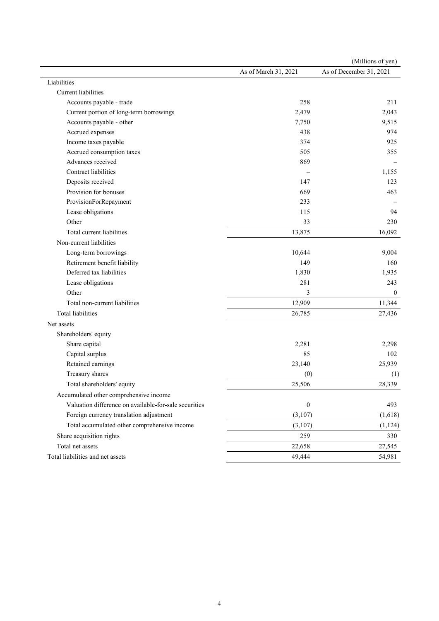|                                                       |                      | (Millions of yen)       |
|-------------------------------------------------------|----------------------|-------------------------|
|                                                       | As of March 31, 2021 | As of December 31, 2021 |
| Liabilities                                           |                      |                         |
| Current liabilities                                   |                      |                         |
| Accounts payable - trade                              | 258                  | 211                     |
| Current portion of long-term borrowings               | 2,479                | 2,043                   |
| Accounts payable - other                              | 7,750                | 9,515                   |
| Accrued expenses                                      | 438                  | 974                     |
| Income taxes payable                                  | 374                  | 925                     |
| Accrued consumption taxes                             | 505                  | 355                     |
| Advances received                                     | 869                  |                         |
| Contract liabilities                                  |                      | 1,155                   |
| Deposits received                                     | 147                  | 123                     |
| Provision for bonuses                                 | 669                  | 463                     |
| ProvisionForRepayment                                 | 233                  |                         |
| Lease obligations                                     | 115                  | 94                      |
| Other                                                 | 33                   | 230                     |
| Total current liabilities                             | 13,875               | 16,092                  |
| Non-current liabilities                               |                      |                         |
| Long-term borrowings                                  | 10,644               | 9,004                   |
| Retirement benefit liability                          | 149                  | 160                     |
| Deferred tax liabilities                              | 1,830                | 1,935                   |
| Lease obligations                                     | 281                  | 243                     |
| Other                                                 | 3                    | $\mathbf{0}$            |
| Total non-current liabilities                         | 12,909               | 11,344                  |
| Total liabilities                                     | 26,785               | 27,436                  |
| Net assets                                            |                      |                         |
| Shareholders' equity                                  |                      |                         |
| Share capital                                         | 2,281                | 2,298                   |
| Capital surplus                                       | 85                   | 102                     |
| Retained earnings                                     | 23,140               | 25,939                  |
| Treasury shares                                       | (0)                  | (1)                     |
| Total shareholders' equity                            | 25,506               | 28,339                  |
| Accumulated other comprehensive income                |                      |                         |
| Valuation difference on available-for-sale securities | $\boldsymbol{0}$     | 493                     |
| Foreign currency translation adjustment               | (3,107)              | (1,618)                 |
| Total accumulated other comprehensive income          | (3,107)              | (1, 124)                |
| Share acquisition rights                              | 259                  | 330                     |
| Total net assets                                      | 22,658               | 27,545                  |
| Total liabilities and net assets                      | 49,444               | 54,981                  |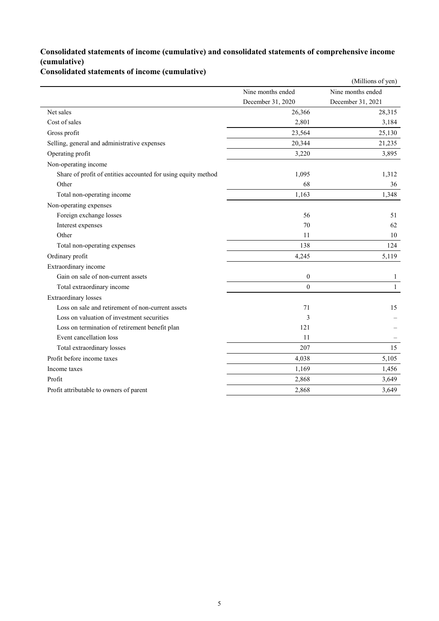## **Consolidated statements of income (cumulative) and consolidated statements of comprehensive income (cumulative)**

**Consolidated statements of income (cumulative)**

|                                                               |                   | (Millions of yen) |
|---------------------------------------------------------------|-------------------|-------------------|
|                                                               | Nine months ended | Nine months ended |
|                                                               | December 31, 2020 | December 31, 2021 |
| Net sales                                                     | 26,366            | 28,315            |
| Cost of sales                                                 | 2,801             | 3,184             |
| Gross profit                                                  | 23,564            | 25,130            |
| Selling, general and administrative expenses                  | 20,344            | 21,235            |
| Operating profit                                              | 3,220             | 3,895             |
| Non-operating income                                          |                   |                   |
| Share of profit of entities accounted for using equity method | 1,095             | 1,312             |
| Other                                                         | 68                | 36                |
| Total non-operating income                                    | 1,163             | 1,348             |
| Non-operating expenses                                        |                   |                   |
| Foreign exchange losses                                       | 56                | 51                |
| Interest expenses                                             | 70                | 62                |
| Other                                                         | 11                | 10                |
| Total non-operating expenses                                  | 138               | 124               |
| Ordinary profit                                               | 4,245             | 5,119             |
| Extraordinary income                                          |                   |                   |
| Gain on sale of non-current assets                            | $\boldsymbol{0}$  | $\mathbf{1}$      |
| Total extraordinary income                                    | $\theta$          | $\mathbf{1}$      |
| <b>Extraordinary losses</b>                                   |                   |                   |
| Loss on sale and retirement of non-current assets             | 71                | 15                |
| Loss on valuation of investment securities                    | 3                 |                   |
| Loss on termination of retirement benefit plan                | 121               |                   |
| Event cancellation loss                                       | 11                |                   |
| Total extraordinary losses                                    | 207               | 15                |
| Profit before income taxes                                    | 4,038             | 5,105             |
| Income taxes                                                  | 1,169             | 1,456             |
| Profit                                                        | 2,868             | 3,649             |
| Profit attributable to owners of parent                       | 2,868             | 3,649             |